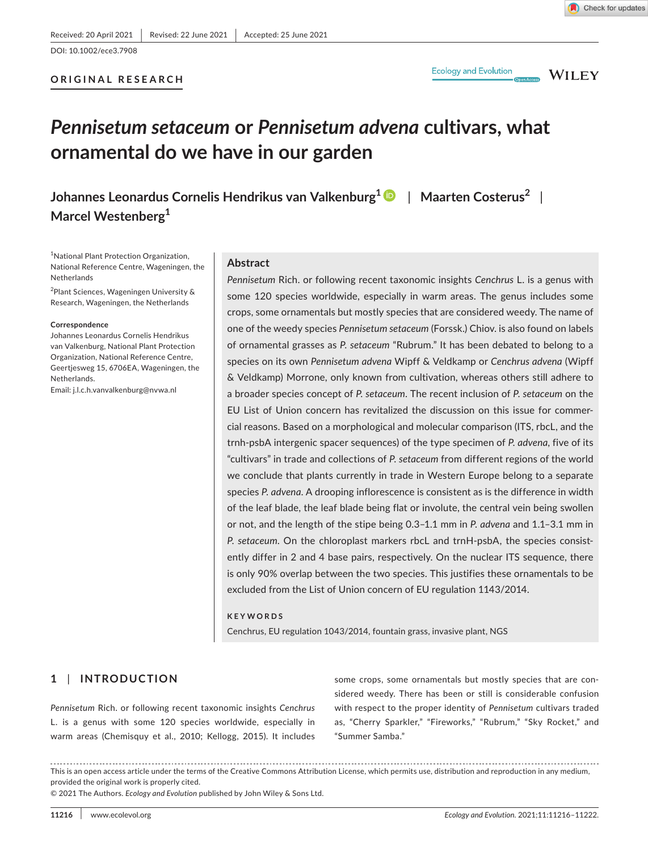DOI: 10.1002/ece3.7908

# **ORIGINAL RESEARCH**

**WILEY** 

# *Pennisetum setaceum* **or** *Pennisetum advena* **cultivars, what ornamental do we have in our garden**

**Johannes Leonardus Cornelis Hendrikus van Valkenburg[1](https://orcid.org/0000-0001-7281-7819)** | **Maarten Costerus<sup>2</sup>** | **Marcel Westenberg<sup>1</sup>**

<sup>1</sup>National Plant Protection Organization, National Reference Centre, Wageningen, the Netherlands

<sup>2</sup>Plant Sciences, Wageningen University & Research, Wageningen, the Netherlands

#### **Correspondence**

Johannes Leonardus Cornelis Hendrikus van Valkenburg, National Plant Protection Organization, National Reference Centre, Geertjesweg 15, 6706EA, Wageningen, the Netherlands.

Email: [j.l.c.h.vanvalkenburg@nvwa.nl](mailto:j.l.c.h.vanvalkenburg@nvwa.nl)

#### **Abstract**

*Pennisetum* Rich. or following recent taxonomic insights *Cenchrus* L. is a genus with some 120 species worldwide, especially in warm areas. The genus includes some crops, some ornamentals but mostly species that are considered weedy. The name of one of the weedy species *Pennisetum setaceum* (Forssk.) Chiov. is also found on labels of ornamental grasses as *P. setaceum* "Rubrum." It has been debated to belong to a species on its own *Pennisetum advena* Wipff & Veldkamp or *Cenchrus advena* (Wipff & Veldkamp) Morrone, only known from cultivation, whereas others still adhere to a broader species concept of *P. setaceum*. The recent inclusion of *P. setaceum* on the EU List of Union concern has revitalized the discussion on this issue for commercial reasons. Based on a morphological and molecular comparison (ITS, rbcL, and the trnh-psbA intergenic spacer sequences) of the type specimen of *P. advena*, five of its "cultivars" in trade and collections of *P. setaceum* from different regions of the world we conclude that plants currently in trade in Western Europe belong to a separate species *P. advena*. A drooping inflorescence is consistent as is the difference in width of the leaf blade, the leaf blade being flat or involute, the central vein being swollen or not, and the length of the stipe being 0.3–1.1 mm in *P. advena* and 1.1–3.1 mm in *P. setaceum*. On the chloroplast markers rbcL and trnH-psbA, the species consistently differ in 2 and 4 base pairs, respectively. On the nuclear ITS sequence, there is only 90% overlap between the two species. This justifies these ornamentals to be excluded from the List of Union concern of EU regulation 1143/2014.

#### **KEYWORDS**

Cenchrus, EU regulation 1043/2014, fountain grass, invasive plant, NGS

# **1** | **INTRODUCTION**

*Pennisetum* Rich. or following recent taxonomic insights *Cenchrus* L. is a genus with some 120 species worldwide, especially in warm areas (Chemisquy et al., 2010; Kellogg, 2015). It includes

some crops, some ornamentals but mostly species that are considered weedy. There has been or still is considerable confusion with respect to the proper identity of *Pennisetum* cultivars traded as, "Cherry Sparkler," "Fireworks," "Rubrum," "Sky Rocket," and "Summer Samba."

This is an open access article under the terms of the [Creative Commons Attribution](http://creativecommons.org/licenses/by/4.0/) License, which permits use, distribution and reproduction in any medium, provided the original work is properly cited.

© 2021 The Authors. *Ecology and Evolution* published by John Wiley & Sons Ltd.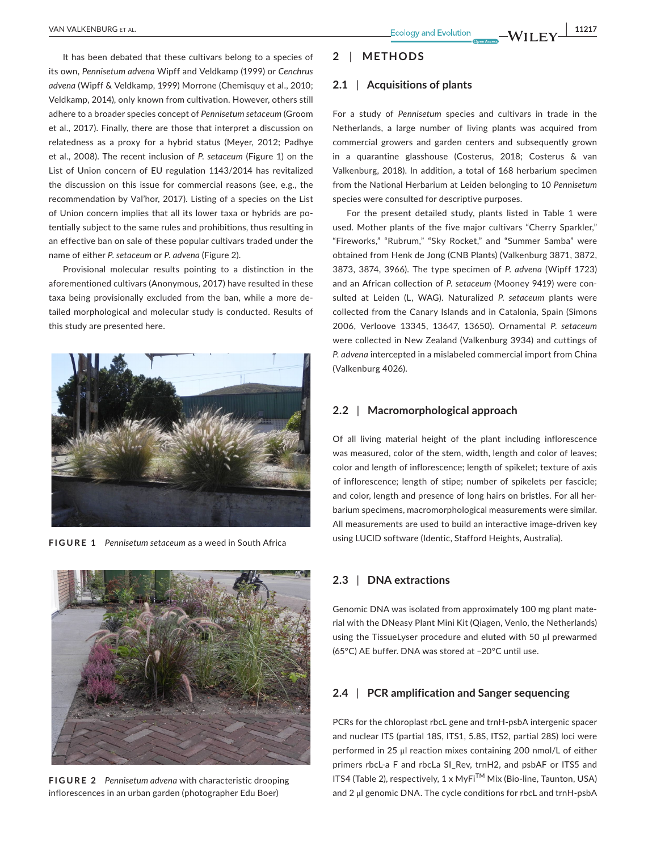It has been debated that these cultivars belong to a species of its own, *Pennisetum advena* Wipff and Veldkamp (1999) or *Cenchrus advena* (Wipff & Veldkamp, 1999) Morrone (Chemisquy et al., 2010; Veldkamp, 2014), only known from cultivation. However, others still adhere to a broader species concept of *Pennisetum setaceum* (Groom et al., 2017). Finally, there are those that interpret a discussion on relatedness as a proxy for a hybrid status (Meyer, 2012; Padhye et al., 2008). The recent inclusion of *P. setaceum* (Figure 1) on the List of Union concern of EU regulation 1143/2014 has revitalized the discussion on this issue for commercial reasons (see, e.g., the recommendation by Val'hor, 2017). Listing of a species on the List of Union concern implies that all its lower taxa or hybrids are potentially subject to the same rules and prohibitions, thus resulting in an effective ban on sale of these popular cultivars traded under the name of either *P. setaceum* or *P. advena* (Figure 2).

Provisional molecular results pointing to a distinction in the aforementioned cultivars (Anonymous, 2017) have resulted in these taxa being provisionally excluded from the ban, while a more detailed morphological and molecular study is conducted. Results of this study are presented here.



**FIGURE 1** *Pennisetum setaceum* as a weed in South Africa



**FIGURE 2** *Pennisetum advena* with characteristic drooping inflorescences in an urban garden (photographer Edu Boer)

#### **2** | **METHODS**

#### **2.1** | **Acquisitions of plants**

For a study of *Pennisetum* species and cultivars in trade in the Netherlands, a large number of living plants was acquired from commercial growers and garden centers and subsequently grown in a quarantine glasshouse (Costerus, 2018; Costerus & van Valkenburg, 2018). In addition, a total of 168 herbarium specimen from the National Herbarium at Leiden belonging to 10 *Pennisetum* species were consulted for descriptive purposes.

For the present detailed study, plants listed in Table 1 were used. Mother plants of the five major cultivars "Cherry Sparkler," "Fireworks," "Rubrum," "Sky Rocket," and "Summer Samba" were obtained from Henk de Jong (CNB Plants) (Valkenburg 3871, 3872, 3873, 3874, 3966). The type specimen of *P. advena* (Wipff 1723) and an African collection of *P. setaceum* (Mooney 9419) were consulted at Leiden (L, WAG). Naturalized *P. setaceum* plants were collected from the Canary Islands and in Catalonia, Spain (Simons 2006, Verloove 13345, 13647, 13650). Ornamental *P. setaceum* were collected in New Zealand (Valkenburg 3934) and cuttings of *P. advena* intercepted in a mislabeled commercial import from China (Valkenburg 4026).

### **2.2** | **Macromorphological approach**

Of all living material height of the plant including inflorescence was measured, color of the stem, width, length and color of leaves; color and length of inflorescence; length of spikelet; texture of axis of inflorescence; length of stipe; number of spikelets per fascicle; and color, length and presence of long hairs on bristles. For all herbarium specimens, macromorphological measurements were similar. All measurements are used to build an interactive image-driven key using LUCID software (Identic, Stafford Heights, Australia).

# **2.3** | **DNA extractions**

Genomic DNA was isolated from approximately 100 mg plant material with the DNeasy Plant Mini Kit (Qiagen, Venlo, the Netherlands) using the TissueLyser procedure and eluted with 50 μl prewarmed (65°C) AE buffer. DNA was stored at −20°C until use.

# **2.4** | **PCR amplification and Sanger sequencing**

PCRs for the chloroplast rbcL gene and trnH-psbA intergenic spacer and nuclear ITS (partial 18S, ITS1, 5.8S, ITS2, partial 28S) loci were performed in 25 μl reaction mixes containing 200 nmol/L of either primers rbcL-a F and rbcLa SI\_Rev, trnH2, and psbAF or ITS5 and ITS4 (Table 2), respectively, 1 x MyFiTM Mix (Bio-line, Taunton, USA) and 2 μl genomic DNA. The cycle conditions for rbcL and trnH-psbA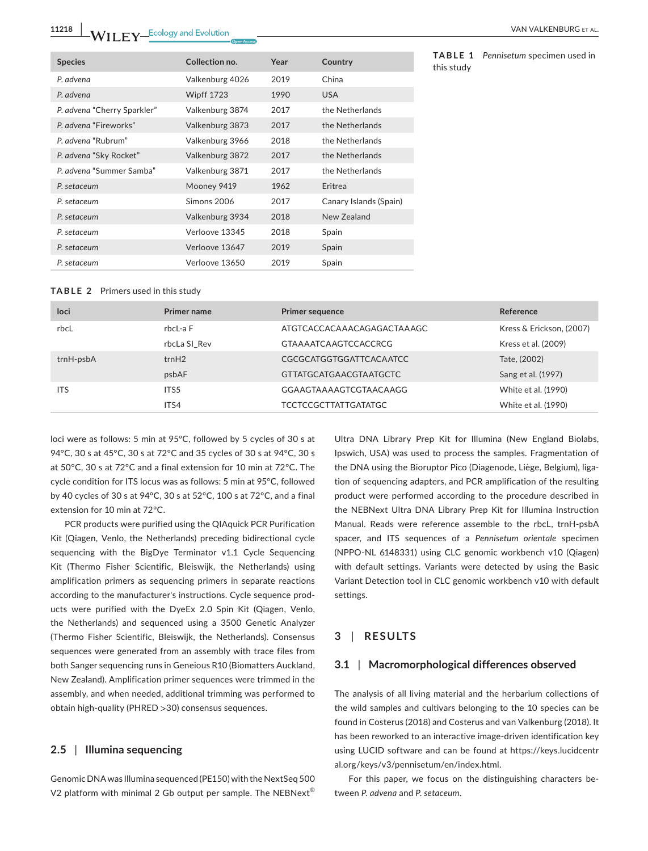**11218 WII FY** Ecology and Evolution **CONSIDER** CONSIDERED MANUAL EXPERIENCE ET AL.

| <b>Species</b>              | Collection no.    | Year | Country                |
|-----------------------------|-------------------|------|------------------------|
| P. advena                   | Valkenburg 4026   | 2019 | China                  |
| P. advena                   | <b>Wipff 1723</b> | 1990 | <b>USA</b>             |
| P. advena "Cherry Sparkler" | Valkenburg 3874   | 2017 | the Netherlands        |
| P. advena "Fireworks"       | Valkenburg 3873   | 2017 | the Netherlands        |
| P. advena "Rubrum"          | Valkenburg 3966   | 2018 | the Netherlands        |
| P. advena "Sky Rocket"      | Valkenburg 3872   | 2017 | the Netherlands        |
| P. advena "Summer Samba"    | Valkenburg 3871   | 2017 | the Netherlands        |
| P. setaceum                 | Mooney 9419       | 1962 | Eritrea                |
| P. setaceum                 | Simons 2006       | 2017 | Canary Islands (Spain) |
| P. setaceum                 | Valkenburg 3934   | 2018 | New Zealand            |
| P. setaceum                 | Verloove 13345    | 2018 | Spain                  |
| P. setaceum                 | Verloove 13647    | 2019 | Spain                  |
| P. setaceum                 | Verloove 13650    | 2019 | Spain                  |

**TABLE 1** *Pennisetum* specimen used in this study

#### **TABLE 2** Primers used in this study

| loci       | <b>Primer name</b> | <b>Primer sequence</b>        | Reference                |
|------------|--------------------|-------------------------------|--------------------------|
| rbcL       | rbcL-a F           | ATGTCACCACAAACAGAGACTAAAGC    | Kress & Erickson, (2007) |
|            | rbcLa SI Rev       | <b>GTAAAATCAAGTCCACCRCG</b>   | Kress et al. (2009)      |
| trnH-psbA  | trnH2              | CGCGCATGGTGGATTCACAATCC       | Tate, (2002)             |
|            | psbAF              | <b>GTTATGCATGAACGTAATGCTC</b> | Sang et al. (1997)       |
| <b>ITS</b> | ITS5               | GGAAGTAAAAGTCGTAACAAGG        | White et al. (1990)      |
|            | ITS4               | TCCTCCGCTTATTGATATGC          | White et al. (1990)      |

loci were as follows: 5 min at 95°C, followed by 5 cycles of 30 s at 94°C, 30 s at 45°C, 30 s at 72°C and 35 cycles of 30 s at 94°C, 30 s at 50°C, 30 s at 72°C and a final extension for 10 min at 72°C. The cycle condition for ITS locus was as follows: 5 min at 95°C, followed by 40 cycles of 30 s at 94°C, 30 s at 52°C, 100 s at 72°C, and a final extension for 10 min at 72°C.

PCR products were purified using the QIAquick PCR Purification Kit (Qiagen, Venlo, the Netherlands) preceding bidirectional cycle sequencing with the BigDye Terminator v1.1 Cycle Sequencing Kit (Thermo Fisher Scientific, Bleiswijk, the Netherlands) using amplification primers as sequencing primers in separate reactions according to the manufacturer's instructions. Cycle sequence products were purified with the DyeEx 2.0 Spin Kit (Qiagen, Venlo, the Netherlands) and sequenced using a 3500 Genetic Analyzer (Thermo Fisher Scientific, Bleiswijk, the Netherlands). Consensus sequences were generated from an assembly with trace files from both Sanger sequencing runs in Geneious R10 (Biomatters Auckland, New Zealand). Amplification primer sequences were trimmed in the assembly, and when needed, additional trimming was performed to obtain high-quality (PHRED >30) consensus sequences.

### **2.5** | **Illumina sequencing**

Genomic DNA was Illumina sequenced (PE150) with the NextSeq 500 V2 platform with minimal 2 Gb output per sample. The NEBNext<sup>®</sup>

Ultra DNA Library Prep Kit for Illumina (New England Biolabs, Ipswich, USA) was used to process the samples. Fragmentation of the DNA using the Bioruptor Pico (Diagenode, Liège, Belgium), ligation of sequencing adapters, and PCR amplification of the resulting product were performed according to the procedure described in the NEBNext Ultra DNA Library Prep Kit for Illumina Instruction Manual. Reads were reference assemble to the rbcL, trnH-psbA spacer, and ITS sequences of a *Pennisetum orientale* specimen (NPPO-NL 6148331) using CLC genomic workbench v10 (Qiagen) with default settings. Variants were detected by using the Basic Variant Detection tool in CLC genomic workbench v10 with default settings.

#### **3** | **RESULTS**

# **3.1** | **Macromorphological differences observed**

The analysis of all living material and the herbarium collections of the wild samples and cultivars belonging to the 10 species can be found in Costerus (2018) and Costerus and van Valkenburg (2018). It has been reworked to an interactive image-driven identification key using LUCID software and can be found at [https://keys.lucidcentr](https://keys.lucidcentral.org/keys/v3/pennisetum/en/index.html) [al.org/keys/v3/pennisetum/en/index.html](https://keys.lucidcentral.org/keys/v3/pennisetum/en/index.html).

For this paper, we focus on the distinguishing characters between *P. advena* and *P. setaceum*.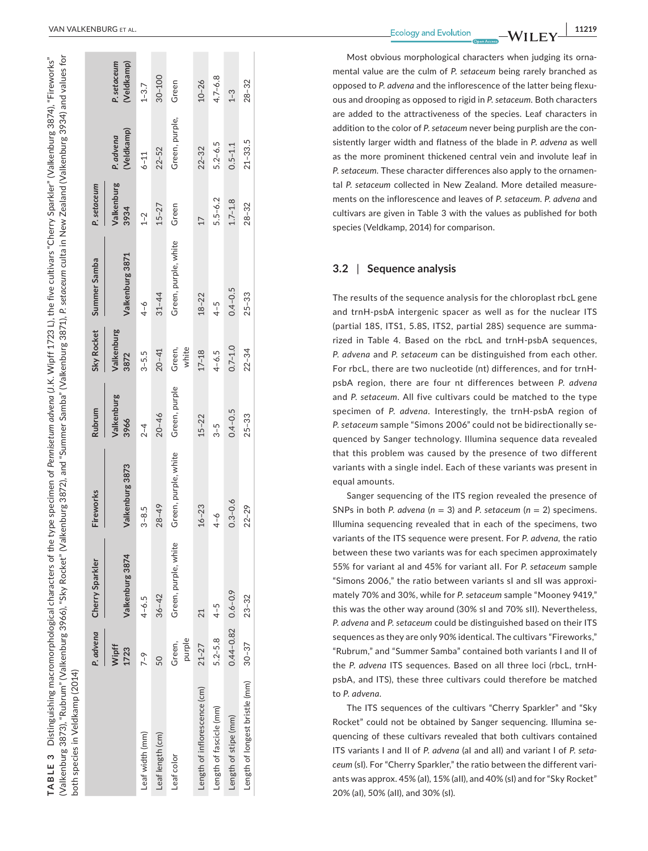(Valkenburg 3873), "Rubrum" (Valkenburg 3966), "Sky Rocket" (Valkenburg 3872), and "Summer Samba" (Valkenburg 3871), *P. setaceum* culta in New Zealand (Valkenburg 3934) and values for Distinguishing macromorphological characters of the type specimen of *Pennisetum advena* (J.K. Wipff 1723 L), the five cultivars "Cherry Sparkler" (Valkenburg 3874), "Fireworks" (Valkenburg 3873), "Rubrum" (Valkenburg 3966), "Sky Rocket" (Valkenburg 3872), and "Summer Samba" (Valkenburg 3871), P. setaceum culta in New Zealand (Valkenburg 3934) and values for Distinguishing macromorphological characters of the type specimen of Pennisetum advend (J.K. Wipff 1723 L), the five cultivars "Cherry Sparkler" (Valkenburg 3874), "Fireworks" both species in Veldkamp (2014) both species in Veldkamp (2014) **TABLE 3**  TABLE 3

|                                | P. advena                 | Cherry Sparkler      | Fireworks            | Rubrum             | Sky Rocket         | Summer Samba         | P. setaceum        |                         |                           |
|--------------------------------|---------------------------|----------------------|----------------------|--------------------|--------------------|----------------------|--------------------|-------------------------|---------------------------|
|                                | Wipff<br>1723             | Valkenburg 3874      | Valkenburg 3873      | Valkenburg<br>3966 | Valkenburg<br>3872 | Valkenburg 3871      | Valkenburg<br>3934 | (Veldkamp)<br>P. advena | (Veldkamp)<br>P. setaceum |
| Leaf width (mm)                | $7 - 9$                   | $4 - 6.5$            | $3 - 8.5$            | $2 - 4$            | $3 - 5.5$          | $4 - 6$              | $1 - 2$            | $6 - 11$                | $1 - 3.7$                 |
| Leaf length (cm)               | 50                        | $36 - 42$            | $28 - 49$            | $20 - 46$          | $20 - 41$          | $31 - 44$            | $15 - 27$          | $22 - 52$               | $30 - 100$                |
| Leaf color                     | purple<br>Green,          | Green, purple, white | Green, purple, white | Green, purple      | Green,<br>white    | Green, purple, white | Green              | Green, purple,          | Green                     |
| Length of inflorescence (cm)   | $21 - 27$                 | 21                   | $16 - 23$            | $15 - 22$          | $17 - 18$          | $18 - 22$            | 17                 | $22 - 32$               | $10 - 26$                 |
| Length of fascicle (mm)        | $5.2 - 5.8$               | $4 - 5$              | $4 - 6$              | $3 - 5$            | $4 - 6.5$          | $4 - 5$              | $5.5 - 6.2$        | $5.2 - 6.5$             | $4.7 - 6.8$               |
| Length of stipe (mm)           | $0.44 - 0.82$ $0.6 - 0.9$ |                      | $0.3 - 0.6$          | $0.4 - 0.5$        | $0.7 - 1.0$        | $0.4 - 0.5$          | $1.7 - 1.8$        | $0.5 - 1.1$             | $1 - 3$                   |
| Length of longest bristle (mm) | $30 - 37$                 | $23 - 32$            | $22 - 29$            | $25 - 33$          | $22 - 34$          | $25 - 33$            | $28 - 32$          | $21 - 33.5$             | $28 - 32$                 |
|                                |                           |                      |                      |                    |                    |                      |                    |                         |                           |

Most obvious morphological characters when judging its orna mental value are the culm of *P. setaceum* being rarely branched as opposed to *P. advena* and the inflorescence of the latter being flexu ous and drooping as opposed to rigid in *P. setaceum*. Both characters are added to the attractiveness of the species. Leaf characters in addition to the color of *P. setaceum* never being purplish are the con sistently larger width and flatness of the blade in *P. advena* as well as the more prominent thickened central vein and involute leaf in *P. setaceum*. These character differences also apply to the ornamen tal *P. setaceum* collected in New Zealand. More detailed measure ments on the inflorescence and leaves of *P. setaceum*. *P. advena* and cultivars are given in Table 3 with the values as published for both species (Veldkamp, 2014) for comparison.

#### **3.2**  | **Sequence analysis**

The results of the sequence analysis for the chloroplast rbcL gene and trnH-psbA intergenic spacer as well as for the nuclear ITS (partial 18S, ITS1, 5.8S, ITS2, partial 28S) sequence are summa rized in Table 4. Based on the rbcL and trnH-psbA sequences, *P. advena* and *P. setaceum* can be distinguished from each other. For rbcL, there are two nucleotide (nt) differences, and for trnHpsbA region, there are four nt differences between *P. advena* and *P. setaceum*. All five cultivars could be matched to the type specimen of *P. advena*. Interestingly, the trnH-psbA region of *P. setaceum* sample "Simons 2006" could not be bidirectionally se quenced by Sanger technology. Illumina sequence data revealed that this problem was caused by the presence of two different variants with a single indel. Each of these variants was present in equal amounts.

Sanger sequencing of the ITS region revealed the presence of SNPs in both *P. advena* ( $n = 3$ ) and *P. setaceum* ( $n = 2$ ) specimens. Illumina sequencing revealed that in each of the specimens, two variants of the ITS sequence were present. For *P. advena,* the ratio between these two variants was for each specimen approximately 55% for variant aI and 45% for variant aII. For *P. setaceum* sample "Simons 2006," the ratio between variants sI and sII was approxi mately 70% and 30%, while for *P. setaceum* sample "Mooney 9419," this was the other way around (30% sI and 70% sII). Nevertheless, *P. advena* and *P. setaceum* could be distinguished based on their ITS sequences as they are only 90% identical. The cultivars "Fireworks," "Rubrum," and "Summer Samba" contained both variants I and II of the *P. advena* ITS sequences. Based on all three loci (rbcL, trnHpsbA, and ITS), these three cultivars could therefore be matched to *P. advena* .

The ITS sequences of the cultivars "Cherry Sparkler" and "Sky Rocket" could not be obtained by Sanger sequencing. Illumina se quencing of these cultivars revealed that both cultivars contained ITS variants I and II of *P. advena* (aI and aII) and variant I of *P. seta ceum* (sI). For "Cherry Sparkler," the ratio between the different vari ants was approx. 45% (aI), 15% (aII), and 40% (sI) and for "Sky Rocket" 20% (aI), 50% (aII), and 30% (sI).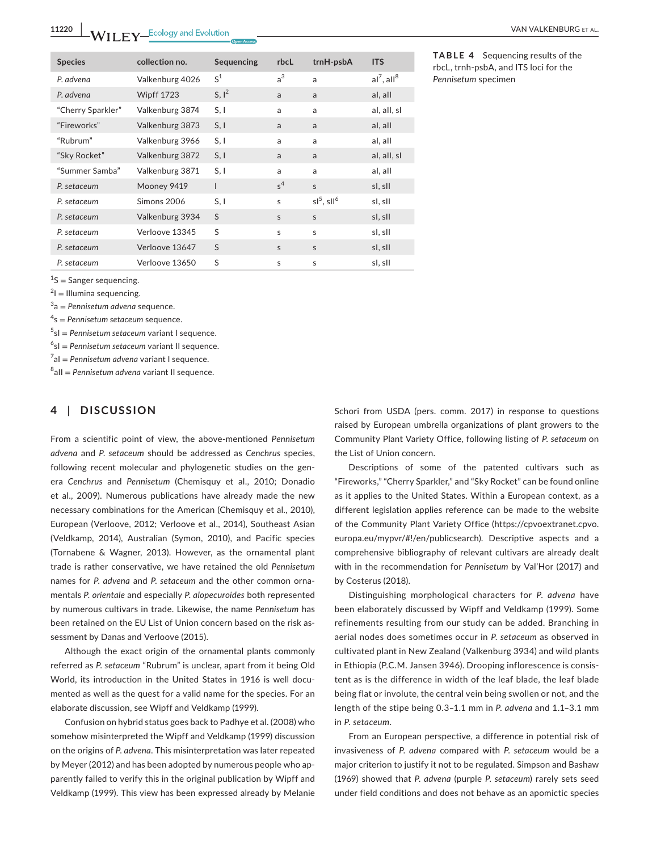| <b>Species</b>    | collection no.    | Sequencing   | rbcL           | trnH-psbA     | <b>ITS</b>                |
|-------------------|-------------------|--------------|----------------|---------------|---------------------------|
| P. advena         | Valkenburg 4026   | $S^1$        | a <sup>3</sup> | a             | $al^7$ . all <sup>8</sup> |
| P. advena         | <b>Wipff 1723</b> | $S, I^2$     | a              | a             | al, all                   |
| "Cherry Sparkler" | Valkenburg 3874   | S, I         | a              | a             | al, all, sl               |
| "Fireworks"       | Valkenburg 3873   | S, I         | a              | a             | al, all                   |
| "Rubrum"          | Valkenburg 3966   | S, I         | a              | a             | al, all                   |
| "Sky Rocket"      | Valkenburg 3872   | S, I         | a              | a             | al, all, sl               |
| "Summer Samba"    | Valkenburg 3871   | S, I         | a              | a             | al, all                   |
| P. setaceum       | Mooney 9419       | $\mathsf{l}$ | $s^4$          | S             | sl, sll                   |
| P. setaceum       | Simons 2006       | S, I         | S              | $sl5$ . $sl6$ | sl, sll                   |
| P. setaceum       | Valkenburg 3934   | S            | S              | S             | sl, sll                   |
| P. setaceum       | Verloove 13345    | S            | S              | S             | sl, sll                   |
| P. setaceum       | Verloove 13647    | S            | S              | $\mathsf{S}$  | sl, sll                   |
| P. setaceum       | Verloove 13650    | S            | S              | s             | sl, sll                   |

**TABLE 4** Sequencing results of the rbcL, trnh-psbA, and ITS loci for the *Pennisetum* specimen

 $1<sup>1</sup>S$  = Sanger sequencing.

 $2I =$  Illumina sequencing.

3 a = *Pennisetum advena* sequence.

4 s = *Pennisetum setaceum* sequence.

5 sI = *Pennisetum setaceum* variant I sequence.

6 sI = *Pennisetum setaceum* variant II sequence.

7 aI = *Pennisetum advena* variant I sequence.

8 aII = *Pennisetum advena* variant II sequence.

# **4** | **DISCUSSION**

From a scientific point of view, the above-mentioned *Pennisetum advena* and *P. setaceum* should be addressed as *Cenchrus* species, following recent molecular and phylogenetic studies on the genera *Cenchrus* and *Pennisetum* (Chemisquy et al., 2010; Donadio et al., 2009). Numerous publications have already made the new necessary combinations for the American (Chemisquy et al., 2010), European (Verloove, 2012; Verloove et al., 2014), Southeast Asian (Veldkamp, 2014), Australian (Symon, 2010), and Pacific species (Tornabene & Wagner, 2013). However, as the ornamental plant trade is rather conservative, we have retained the old *Pennisetum* names for *P. advena* and *P. setaceum* and the other common ornamentals *P. orientale* and especially *P. alopecuroides* both represented by numerous cultivars in trade. Likewise, the name *Pennisetum* has been retained on the EU List of Union concern based on the risk assessment by Danas and Verloove (2015).

Although the exact origin of the ornamental plants commonly referred as *P. setaceum* "Rubrum" is unclear, apart from it being Old World, its introduction in the United States in 1916 is well documented as well as the quest for a valid name for the species. For an elaborate discussion, see Wipff and Veldkamp (1999).

Confusion on hybrid status goes back to Padhye et al. (2008) who somehow misinterpreted the Wipff and Veldkamp (1999) discussion on the origins of *P*. *advena*. This misinterpretation was later repeated by Meyer (2012) and has been adopted by numerous people who apparently failed to verify this in the original publication by Wipff and Veldkamp (1999). This view has been expressed already by Melanie

Schori from USDA (pers. comm. 2017) in response to questions raised by European umbrella organizations of plant growers to the Community Plant Variety Office, following listing of *P. setaceum* on the List of Union concern.

Descriptions of some of the patented cultivars such as "Fireworks," "Cherry Sparkler," and "Sky Rocket" can be found online as it applies to the United States. Within a European context, as a different legislation applies reference can be made to the website of the Community Plant Variety Office ([https://cpvoextranet.cpvo.](https://cpvoextranet.cpvo.europa.eu/mypvr/#!/en/publicsearch) [europa.eu/mypvr/#!/en/publicsearch](https://cpvoextranet.cpvo.europa.eu/mypvr/#!/en/publicsearch)). Descriptive aspects and a comprehensive bibliography of relevant cultivars are already dealt with in the recommendation for *Pennisetum* by Val'Hor (2017) and by Costerus (2018).

Distinguishing morphological characters for *P. advena* have been elaborately discussed by Wipff and Veldkamp (1999). Some refinements resulting from our study can be added. Branching in aerial nodes does sometimes occur in *P. setaceum* as observed in cultivated plant in New Zealand (Valkenburg 3934) and wild plants in Ethiopia (P.C.M. Jansen 3946). Drooping inflorescence is consistent as is the difference in width of the leaf blade, the leaf blade being flat or involute, the central vein being swollen or not, and the length of the stipe being 0.3–1.1 mm in *P. advena* and 1.1–3.1 mm in *P. setaceum*.

From an European perspective, a difference in potential risk of invasiveness of *P. advena* compared with *P. setaceum* would be a major criterion to justify it not to be regulated. Simpson and Bashaw (1969) showed that *P. advena* (purple *P. setaceum*) rarely sets seed under field conditions and does not behave as an apomictic species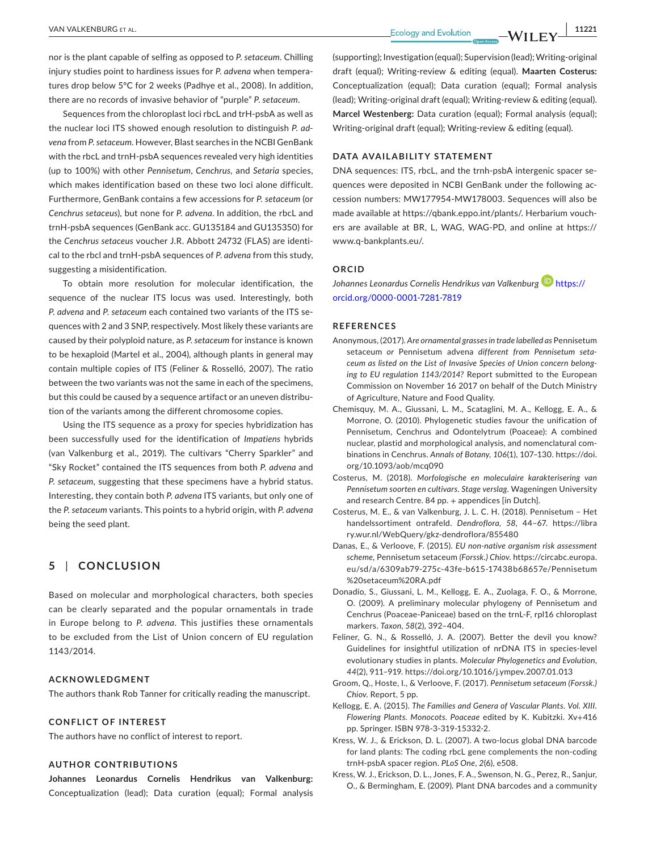nor is the plant capable of selfing as opposed to *P. setaceum*. Chilling injury studies point to hardiness issues for *P. advena* when temperatures drop below 5°C for 2 weeks (Padhye et al., 2008). In addition, there are no records of invasive behavior of "purple" *P. setaceum*.

Sequences from the chloroplast loci rbcL and trH-psbA as well as the nuclear loci ITS showed enough resolution to distinguish *P. advena* from *P. setaceum*. However, Blast searches in the NCBI GenBank with the rbcL and trnH-psbA sequences revealed very high identities (up to 100%) with other *Pennisetum*, *Cenchrus,* and *Setaria* species, which makes identification based on these two loci alone difficult. Furthermore, GenBank contains a few accessions for *P. setaceum* (or *Cenchrus setaceus*), but none for *P. advena*. In addition, the rbcL and trnH-psbA sequences (GenBank acc. [GU135184](info:refseq/GU135184) and [GU135350](info:refseq/GU135350)) for the *Cenchrus setaceus* voucher J.R. Abbott 24732 (FLAS) are identical to the rbcl and trnH-psbA sequences of *P*. *advena* from this study, suggesting a misidentification.

To obtain more resolution for molecular identification, the sequence of the nuclear ITS locus was used. Interestingly, both *P. advena* and *P. setaceum* each contained two variants of the ITS sequences with 2 and 3 SNP, respectively. Most likely these variants are caused by their polyploid nature, as *P. setaceum* for instance is known to be hexaploid (Martel et al., 2004), although plants in general may contain multiple copies of ITS (Feliner & Rosselló, 2007). The ratio between the two variants was not the same in each of the specimens, but this could be caused by a sequence artifact or an uneven distribution of the variants among the different chromosome copies.

Using the ITS sequence as a proxy for species hybridization has been successfully used for the identification of *Impatiens* hybrids (van Valkenburg et al., 2019). The cultivars "Cherry Sparkler" and "Sky Rocket" contained the ITS sequences from both *P. advena* and *P. setaceum*, suggesting that these specimens have a hybrid status. Interesting, they contain both *P. advena* ITS variants, but only one of the *P. setaceum* variants. This points to a hybrid origin, with *P. advena* being the seed plant.

# **5** | **CONCLUSION**

Based on molecular and morphological characters, both species can be clearly separated and the popular ornamentals in trade in Europe belong to *P. advena*. This justifies these ornamentals to be excluded from the List of Union concern of EU regulation 1143/2014.

# **ACKNOWLEDGMENT**

The authors thank Rob Tanner for critically reading the manuscript.

#### **CONFLICT OF INTEREST**

The authors have no conflict of interest to report.

# **AUTHOR CONTRIBUTIONS**

**Johannes Leonardus Cornelis Hendrikus van Valkenburg:** Conceptualization (lead); Data curation (equal); Formal analysis (supporting); Investigation (equal); Supervision (lead); Writing-original draft (equal); Writing-review & editing (equal). **Maarten Costerus:** Conceptualization (equal); Data curation (equal); Formal analysis (lead); Writing-original draft (equal); Writing-review & editing (equal). **Marcel Westenberg:** Data curation (equal); Formal analysis (equal); Writing-original draft (equal); Writing-review & editing (equal).

#### **DATA AVAILABILITY STATEMENT**

DNA sequences: ITS, rbcL, and the trnh-psbA intergenic spacer sequences were deposited in NCBI GenBank under the following accession numbers: [MW177954-](info:refseq/MW177954)[MW178003](info:refseq/MW178003). Sequences will also be made available at<https://qbank.eppo.int/plants/>. Herbarium vouchers are available at BR, L, WAG, WAG-PD, and online at [https://](https://www.q-bankplants.eu/) [www.q-bankplants.eu/.](https://www.q-bankplants.eu/)

#### **ORCID**

*Johannes Leonardus Cornelis Hendrikus van Valkenbur[g](https://orcid.org/0000-0001-7281-7819)* [https://](https://orcid.org/0000-0001-7281-7819) [orcid.org/0000-0001-7281-7819](https://orcid.org/0000-0001-7281-7819)

#### **REFERENCES**

- Anonymous, (2017). *Are ornamental grasses in trade labelled as* Pennisetum setaceum *or* Pennisetum advena *different from Pennisetum setaceum as listed on the List of Invasive Species of Union concern belonging to EU regulation 1143/2014?* Report submitted to the European Commission on November 16 2017 on behalf of the Dutch Ministry of Agriculture, Nature and Food Quality.
- Chemisquy, M. A., Giussani, L. M., Scataglini, M. A., Kellogg, E. A., & Morrone, O. (2010). Phylogenetic studies favour the unification of Pennisetum, Cenchrus and Odontelytrum (Poaceae): A combined nuclear, plastid and morphological analysis, and nomenclatural combinations in Cenchrus. *Annals of Botany*, *106*(1), 107–130. [https://doi.](https://doi.org/10.1093/aob/mcq090) [org/10.1093/aob/mcq090](https://doi.org/10.1093/aob/mcq090)
- Costerus, M. (2018). *Morfologische en moleculaire karakterisering van Pennisetum soorten en cultivars. Stage verslag*. Wageningen University and research Centre. 84 pp. + appendices [in Dutch].
- Costerus, M. E., & van Valkenburg, J. L. C. H. (2018). Pennisetum Het handelssortiment ontrafeld. *Dendroflora*, *58*, 44–67. [https://libra](https://library.wur.nl/WebQuery/gkz-dendroflora/855480) [ry.wur.nl/WebQuery/gkz-dendroflora/855480](https://library.wur.nl/WebQuery/gkz-dendroflora/855480)
- Danas, E., & Verloove, F. (2015). *EU non-native organism risk assessment scheme,* Pennisetum setaceum *(Forssk.) Chiov*. [https://circabc.europa.](https://circabc.europa.eu/sd/a/6309ab79-275c-43fe-b615-17438b68657e/Pennisetum setaceum RA.pdf) [eu/sd/a/6309ab79-275c-43fe-b615-17438b68657e/Pennisetum](https://circabc.europa.eu/sd/a/6309ab79-275c-43fe-b615-17438b68657e/Pennisetum setaceum RA.pdf) [%20setaceum%20RA.pdf](https://circabc.europa.eu/sd/a/6309ab79-275c-43fe-b615-17438b68657e/Pennisetum setaceum RA.pdf)
- Donadío, S., Giussani, L. M., Kellogg, E. A., Zuolaga, F. O., & Morrone, O. (2009). A preliminary molecular phylogeny of Pennisetum and Cenchrus (Poaceae-Paniceae) based on the trnL-F, rpl16 chloroplast markers. *Taxon*, *58*(2), 392–404.
- Feliner, G. N., & Rosselló, J. A. (2007). Better the devil you know? Guidelines for insightful utilization of nrDNA ITS in species-level evolutionary studies in plants. *Molecular Phylogenetics and Evolution*, *44*(2), 911–919.<https://doi.org/10.1016/j.ympev.2007.01.013>
- Groom, Q., Hoste, I., & Verloove, F. (2017). *Pennisetum setaceum (Forssk.) Chiov*. Report, 5 pp.
- Kellogg, E. A. (2015). *The Families and Genera of Vascular Plants. Vol. XIII. Flowering Plants. Monocots. Poaceae* edited by K. Kubitzki. Xv+416 pp. Springer. ISBN 978-3-319-15332-2.
- Kress, W. J., & Erickson, D. L. (2007). A two-locus global DNA barcode for land plants: The coding rbcL gene complements the non-coding trnH-psbA spacer region. *PLoS One*, *2*(6), e508.
- Kress, W. J., Erickson, D. L., Jones, F. A., Swenson, N. G., Perez, R., Sanjur, O., & Bermingham, E. (2009). Plant DNA barcodes and a community